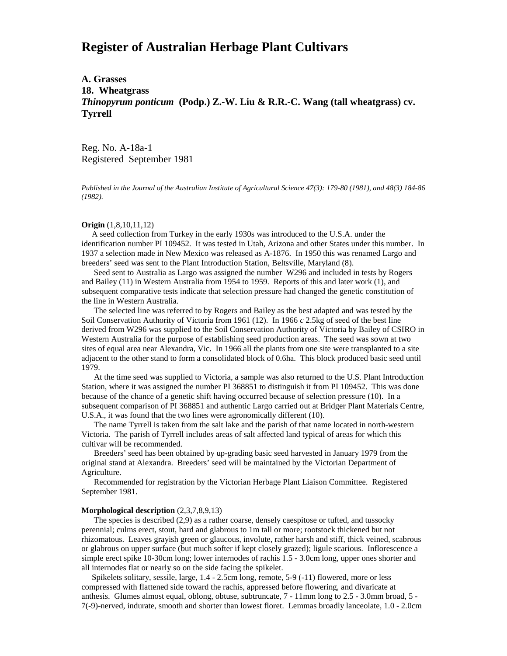# **Register of Australian Herbage Plant Cultivars**

# **A. Grasses 18. Wheatgrass** *Thinopyrum ponticum* **(Podp.) Z.-W. Liu & R.R.-C. Wang (tall wheatgrass) cv. Tyrrell**

Reg. No. A-18a-1 Registered September 1981

*Published in the Journal of the Australian Institute of Agricultural Science 47(3): 179-80 (1981), and 48(3) 184-86 (1982).*

#### **Origin** (1,8,10,11,12)

 A seed collection from Turkey in the early 1930s was introduced to the U.S.A. under the identification number PI 109452. It was tested in Utah, Arizona and other States under this number. In 1937 a selection made in New Mexico was released as A-1876. In 1950 this was renamed Largo and breeders' seed was sent to the Plant Introduction Station, Beltsville, Maryland (8).

 Seed sent to Australia as Largo was assigned the number W296 and included in tests by Rogers and Bailey (11) in Western Australia from 1954 to 1959. Reports of this and later work (1), and subsequent comparative tests indicate that selection pressure had changed the genetic constitution of the line in Western Australia.

 The selected line was referred to by Rogers and Bailey as the best adapted and was tested by the Soil Conservation Authority of Victoria from 1961 (12). In 1966 *c* 2.5kg of seed of the best line derived from W296 was supplied to the Soil Conservation Authority of Victoria by Bailey of CSIRO in Western Australia for the purpose of establishing seed production areas. The seed was sown at two sites of equal area near Alexandra, Vic. In 1966 all the plants from one site were transplanted to a site adjacent to the other stand to form a consolidated block of 0.6ha. This block produced basic seed until 1979.

 At the time seed was supplied to Victoria, a sample was also returned to the U.S. Plant Introduction Station, where it was assigned the number PI 368851 to distinguish it from PI 109452. This was done because of the chance of a genetic shift having occurred because of selection pressure (10). In a subsequent comparison of PI 368851 and authentic Largo carried out at Bridger Plant Materials Centre, U.S.A., it was found that the two lines were agronomically different (10).

 The name Tyrrell is taken from the salt lake and the parish of that name located in north-western Victoria. The parish of Tyrrell includes areas of salt affected land typical of areas for which this cultivar will be recommended.

 Breeders' seed has been obtained by up-grading basic seed harvested in January 1979 from the original stand at Alexandra. Breeders' seed will be maintained by the Victorian Department of Agriculture.

 Recommended for registration by the Victorian Herbage Plant Liaison Committee. Registered September 1981.

# **Morphological description** (2,3,7,8,9,13)

 The species is described (2,9) as a rather coarse, densely caespitose or tufted, and tussocky perennial; culms erect, stout, hard and glabrous to 1m tall or more; rootstock thickened but not rhizomatous. Leaves grayish green or glaucous, involute, rather harsh and stiff, thick veined, scabrous or glabrous on upper surface (but much softer if kept closely grazed); ligule scarious. Inflorescence a simple erect spike 10-30cm long; lower internodes of rachis 1.5 - 3.0cm long, upper ones shorter and all internodes flat or nearly so on the side facing the spikelet.

 Spikelets solitary, sessile, large, 1.4 - 2.5cm long, remote, 5-9 (-11) flowered, more or less compressed with flattened side toward the rachis, appressed before flowering, and divaricate at anthesis. Glumes almost equal, oblong, obtuse, subtruncate, 7 - 11mm long to 2.5 - 3.0mm broad, 5 - 7(-9)-nerved, indurate, smooth and shorter than lowest floret. Lemmas broadly lanceolate, 1.0 - 2.0cm